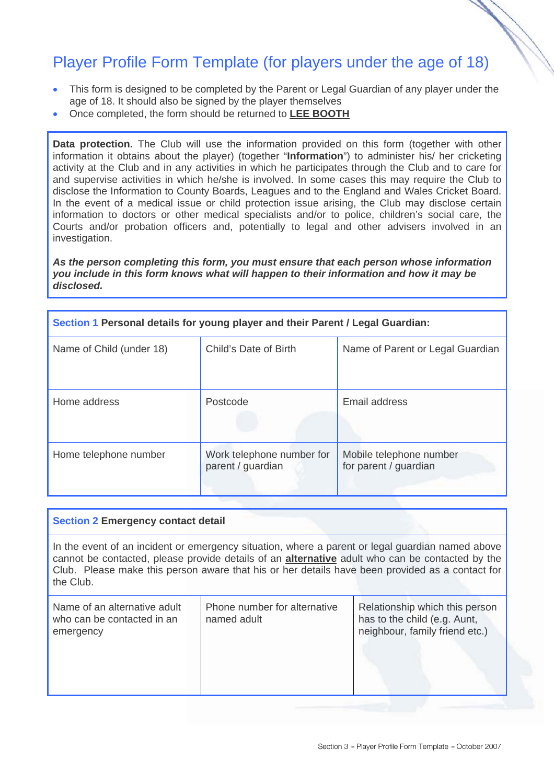## Player Profile Form Template (for players under the age of 18)

- This form is designed to be completed by the Parent or Legal Guardian of any player under the age of 18. It should also be signed by the player themselves
- Once completed, the form should be returned to **LEE BOOTH**

**Data protection.** The Club will use the information provided on this form (together with other information it obtains about the player) (together "**Information**") to administer his/ her cricketing activity at the Club and in any activities in which he participates through the Club and to care for and supervise activities in which he/she is involved. In some cases this may require the Club to disclose the Information to County Boards, Leagues and to the England and Wales Cricket Board. In the event of a medical issue or child protection issue arising, the Club may disclose certain information to doctors or other medical specialists and/or to police, children's social care, the Courts and/or probation officers and, potentially to legal and other advisers involved in an investigation.

## *As the person completing this form, you must ensure that each person whose information you include in this form knows what will happen to their information and how it may be disclosed.*

| Section 1 Personal details for young player and their Parent / Legal Guardian: |                                                |                                                  |  |  |
|--------------------------------------------------------------------------------|------------------------------------------------|--------------------------------------------------|--|--|
| Name of Child (under 18)                                                       | Child's Date of Birth                          | Name of Parent or Legal Guardian                 |  |  |
| Home address                                                                   | Postcode                                       | Email address                                    |  |  |
| Home telephone number                                                          | Work telephone number for<br>parent / guardian | Mobile telephone number<br>for parent / guardian |  |  |

## **Section 2 Emergency contact detail**

In the event of an incident or emergency situation, where a parent or legal guardian named above cannot be contacted, please provide details of an **alternative** adult who can be contacted by the Club. Please make this person aware that his or her details have been provided as a contact for the Club.

| Name of an alternative adult<br>who can be contacted in an<br>emergency | Phone number for alternative<br>named adult | Relationship which this person<br>has to the child (e.g. Aunt,<br>neighbour, family friend etc.) |
|-------------------------------------------------------------------------|---------------------------------------------|--------------------------------------------------------------------------------------------------|
|-------------------------------------------------------------------------|---------------------------------------------|--------------------------------------------------------------------------------------------------|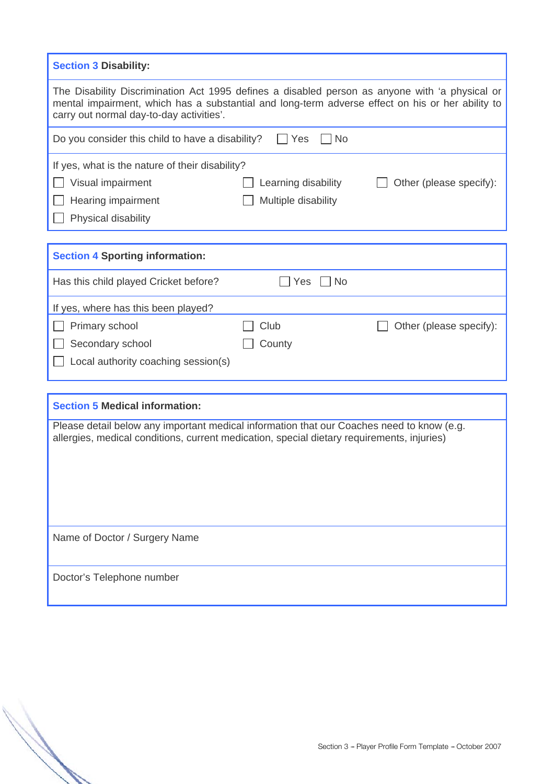| <b>Section 3 Disability:</b>                                                                                                                                                                                                                   |                     |                         |  |  |
|------------------------------------------------------------------------------------------------------------------------------------------------------------------------------------------------------------------------------------------------|---------------------|-------------------------|--|--|
| The Disability Discrimination Act 1995 defines a disabled person as anyone with 'a physical or<br>mental impairment, which has a substantial and long-term adverse effect on his or her ability to<br>carry out normal day-to-day activities'. |                     |                         |  |  |
| Do you consider this child to have a disability?                                                                                                                                                                                               | Yes<br>No           |                         |  |  |
| If yes, what is the nature of their disability?                                                                                                                                                                                                |                     |                         |  |  |
| Visual impairment                                                                                                                                                                                                                              | Learning disability | Other (please specify): |  |  |
| Hearing impairment                                                                                                                                                                                                                             | Multiple disability |                         |  |  |
| Physical disability                                                                                                                                                                                                                            |                     |                         |  |  |
|                                                                                                                                                                                                                                                |                     |                         |  |  |
| <b>Section 4 Sporting information:</b>                                                                                                                                                                                                         |                     |                         |  |  |
| Has this child played Cricket before?                                                                                                                                                                                                          | <b>No</b><br>Yes    |                         |  |  |
| If yes, where has this been played?                                                                                                                                                                                                            |                     |                         |  |  |
| Primary school                                                                                                                                                                                                                                 | Club                | Other (please specify): |  |  |
| Secondary school                                                                                                                                                                                                                               | County              |                         |  |  |
| Local authority coaching session(s)                                                                                                                                                                                                            |                     |                         |  |  |
|                                                                                                                                                                                                                                                |                     |                         |  |  |
| <b>Section 5 Medical information:</b>                                                                                                                                                                                                          |                     |                         |  |  |
| Please detail below any important medical information that our Coaches need to know (e.g.<br>allergies, medical conditions, current medication, special dietary requirements, injuries)                                                        |                     |                         |  |  |
|                                                                                                                                                                                                                                                |                     |                         |  |  |
| Name of Doctor / Surgery Name                                                                                                                                                                                                                  |                     |                         |  |  |
| Doctor's Telephone number                                                                                                                                                                                                                      |                     |                         |  |  |